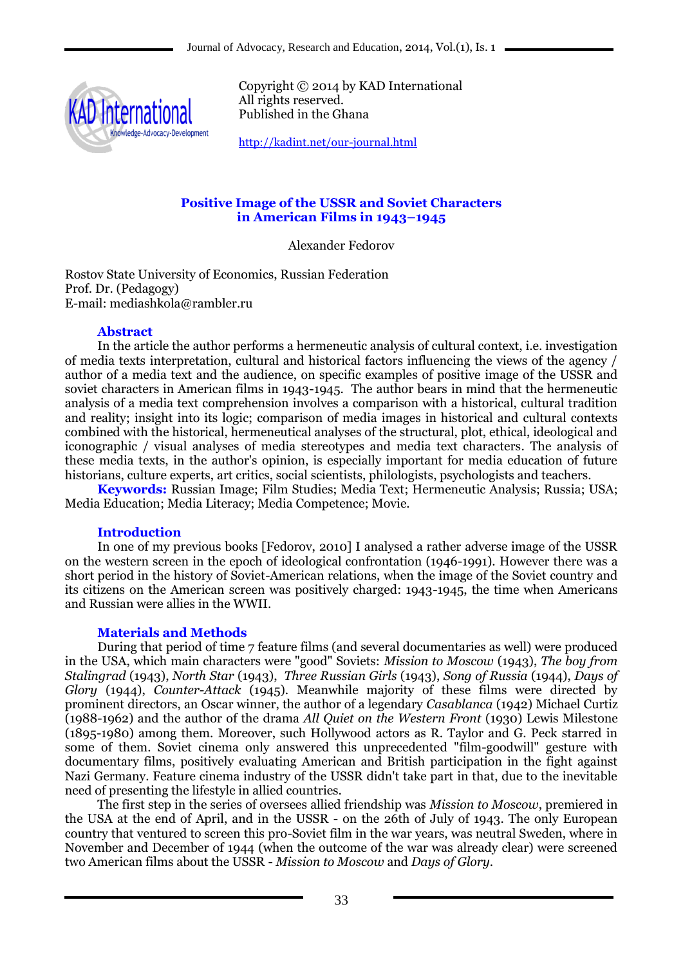

Copyright © 2014 by KAD International All rights reserved. Published in the Ghana

<http://kadint.net/our-journal.html>

# **Positive Image of the USSR and Soviet Characters in American Films in 1943–1945**

Alexander Fedorov

Rostov State University of Economics, Russian Federation Prof. Dr. (Pedagogy) E-mail: mediashkola@rambler.ru

### **Abstract**

In the article the author performs a hermeneutic analysis of cultural context, i.e. investigation of media texts interpretation, cultural and historical factors influencing the views of the agency / author of a media text and the audience, on specific examples of positive image of the USSR and soviet characters in American films in 1943-1945. The author bears in mind that the hermeneutic analysis of a media text comprehension involves a comparison with a historical, cultural tradition and reality; insight into its logic; comparison of media images in historical and cultural contexts combined with the historical, hermeneutical analyses of the structural, plot, ethical, ideological and iconographic / visual analyses of media stereotypes and media text characters. The analysis of these media texts, in the author's opinion, is especially important for media education of future historians, culture experts, art critics, social scientists, philologists, psychologists and teachers.

**Keywords:** Russian Image; Film Studies; Media Text; Hermeneutic Analysis; Russia; USA; Media Education; Media Literacy; Media Competence; Movie.

# **Introduction**

In one of my previous books [Fedorov, 2010] I analysed a rather adverse image of the USSR on the western screen in the epoch of ideological confrontation (1946-1991). However there was a short period in the history of Soviet-American relations, when the image of the Soviet country and its citizens on the American screen was positively charged: 1943-1945, the time when Americans and Russian were allies in the WWII.

# **Materials and Methods**

During that period of time 7 feature films (and several documentaries as well) were produced in the USA, which main characters were "good" Soviets: *Mission to Moscow* (1943), *The boy from Stalingrad* (1943), *North Star* (1943), *Three Russian Girls* (1943), *Song of Russia* (1944), *Days of Glory* (1944), *Counter-Attack* (1945). Meanwhile majority of these films were directed by prominent directors, an Oscar winner, the author of a legendary *Casablanca* (1942) Michael Curtiz (1988-1962) and the author of the drama *All Quiet on the Western Front* (1930) Lewis Milestone (1895-1980) among them. Moreover, such Hollywood actors as R. Taylor and G. Peck starred in some of them. Soviet cinema only answered this unprecedented "film-goodwill" gesture with documentary films, positively evaluating American and British participation in the fight against Nazi Germany. Feature cinema industry of the USSR didn't take part in that, due to the inevitable need of presenting the lifestyle in allied countries.

The first step in the series of oversees allied friendship was *Mission to Moscow*, premiered in the USA at the end of April, and in the USSR - on the 26th of July of 1943. The only European country that ventured to screen this pro-Soviet film in the war years, was neutral Sweden, where in November and December of 1944 (when the outcome of the war was already clear) were screened two American films about the USSR - *Mission to Moscow* and *Days of Glory*.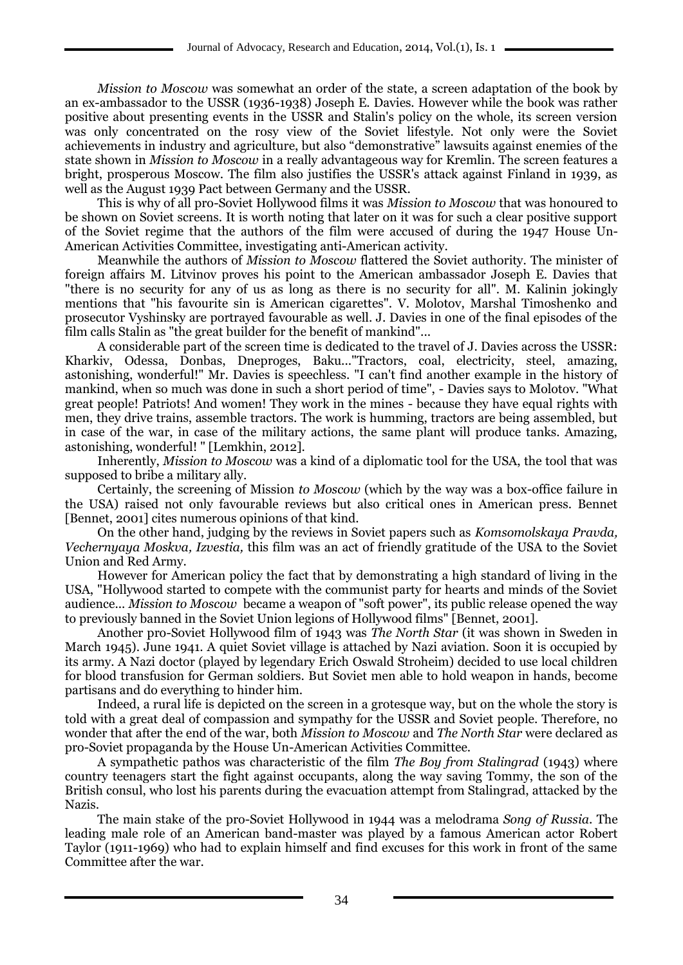*Mission to Moscow* was somewhat an order of the state, a screen adaptation of the book by an ex-ambassador to the USSR (1936-1938) Joseph E. Davies. However while the book was rather positive about presenting events in the USSR and Stalin's policy on the whole, its screen version was only concentrated on the rosy view of the Soviet lifestyle. Not only were the Soviet achievements in industry and agriculture, but also "demonstrative" lawsuits against enemies of the state shown in *Mission to Moscow* in a really advantageous way for Kremlin. The screen features a bright, prosperous Moscow. The film also justifies the USSR's attack against Finland in 1939, as well as the August 1939 Pact between Germany and the USSR.

This is why of all pro-Soviet Hollywood films it was *Mission to Moscow* that was honoured to be shown on Soviet screens. It is worth noting that later on it was for such a clear positive support of the Soviet regime that the authors of the film were accused of during the 1947 House Un-American Activities Committee, investigating anti-American activity.

Meanwhile the authors of *Mission to Moscow* flattered the Soviet authority. The minister of foreign affairs M. Litvinov proves his point to the American ambassador Joseph E. Davies that "there is no security for any of us as long as there is no security for all". M. Kalinin jokingly mentions that "his favourite sin is American cigarettes". V. Molotov, Marshal Timoshenko and prosecutor Vyshinsky are portrayed favourable as well. J. Davies in one of the final episodes of the film calls Stalin as "the great builder for the benefit of mankind"...

A considerable part of the screen time is dedicated to the travel of J. Davies across the USSR: Kharkiv, Odessa, Donbas, Dneproges, Baku..."Tractors, coal, electricity, steel, amazing, astonishing, wonderful!" Mr. Davies is speechless. "I can't find another example in the history of mankind, when so much was done in such a short period of time", - Davies says to Molotov. "What great people! Patriots! And women! They work in the mines - because they have equal rights with men, they drive trains, assemble tractors. The work is humming, tractors are being assembled, but in case of the war, in case of the military actions, the same plant will produce tanks. Amazing, astonishing, wonderful! " [Lemkhin, 2012].

Inherently, *Mission to Moscow* was a kind of a diplomatic tool for the USA, the tool that was supposed to bribe a military ally.

Certainly, the screening of Mission *to Moscow* (which by the way was a box-office failure in the USA) raised not only favourable reviews but also critical ones in American press. Bennet [Bennet, 2001] cites numerous opinions of that kind.

On the other hand, judging by the reviews in Soviet papers such as *Komsomolskaya Pravda, Vechernyaya Moskva, Izvestia,* this film was an act of friendly gratitude of the USA to the Soviet Union and Red Army.

However for American policy the fact that by demonstrating a high standard of living in the USA, "Hollywood started to compete with the communist party for hearts and minds of the Soviet audience... *Mission to Moscow* became a weapon of "soft power", its public release opened the way to previously banned in the Soviet Union legions of Hollywood films" [Bennet, 2001].

Another pro-Soviet Hollywood film of 1943 was *The North Star* (it was shown in Sweden in March 1945). June 1941. A quiet Soviet village is attached by Nazi aviation. Soon it is occupied by its army. A Nazi doctor (played by legendary Erich Oswald Stroheim) decided to use local children for blood transfusion for German soldiers. But Soviet men able to hold weapon in hands, become partisans and do everything to hinder him.

Indeed, a rural life is depicted on the screen in a grotesque way, but on the whole the story is told with a great deal of compassion and sympathy for the USSR and Soviet people. Therefore, no wonder that after the end of the war, both *Mission to Moscow* and *The North Star* were declared as pro-Soviet propaganda by the House Un-American Activities Committee.

A sympathetic pathos was characteristic of the film *The Boy from Stalingrad* (1943) where country teenagers start the fight against occupants, along the way saving Tommy, the son of the British consul, who lost his parents during the evacuation attempt from Stalingrad, attacked by the Nazis.

The main stake of the pro-Soviet Hollywood in 1944 was a melodrama *Song of Russia*. The leading male role of an American band-master was played by a famous American actor Robert Taylor (1911-1969) who had to explain himself and find excuses for this work in front of the same Committee after the war.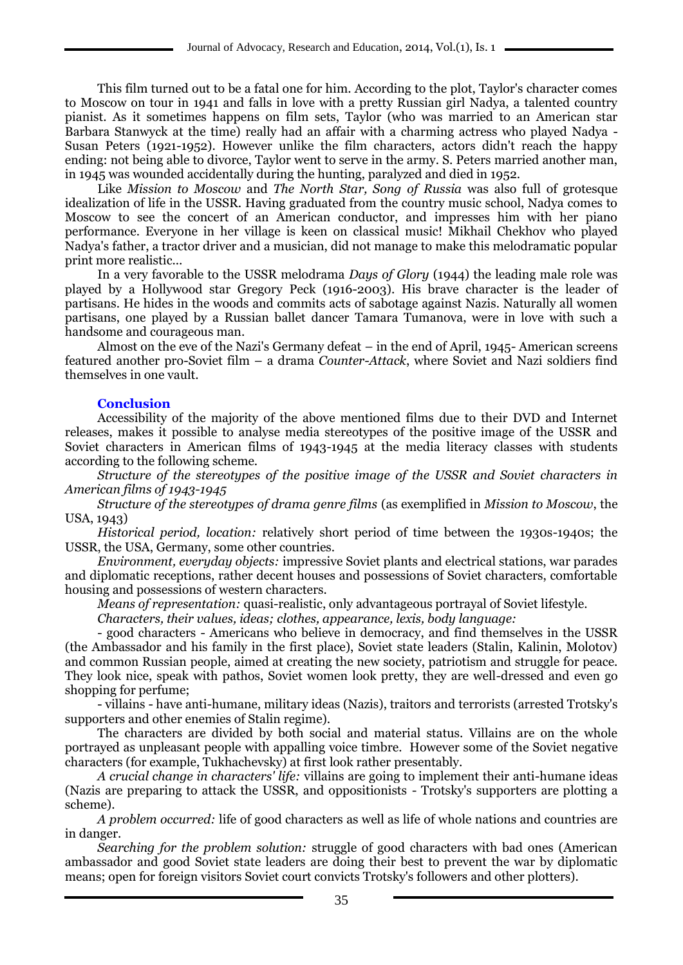This film turned out to be a fatal one for him. According to the plot, Taylor's character comes to Moscow on tour in 1941 and falls in love with a pretty Russian girl Nadya, a talented country pianist. As it sometimes happens on film sets, Taylor (who was married to an American star Barbara Stanwyck at the time) really had an affair with a charming actress who played Nadya - Susan Peters (1921-1952). However unlike the film characters, actors didn't reach the happy ending: not being able to divorce, Taylor went to serve in the army. S. Peters married another man, in 1945 was wounded accidentally during the hunting, paralyzed and died in 1952.

Like *Mission to Moscow* and *The North Star, Song of Russia* was also full of grotesque idealization of life in the USSR. Having graduated from the country music school, Nadya comes to Moscow to see the concert of an American conductor, and impresses him with her piano performance. Everyone in her village is keen on classical music! Mikhail Chekhov who played Nadya's father, a tractor driver and a musician, did not manage to make this melodramatic popular print more realistic...

In a very favorable to the USSR melodrama *Days of Glory* (1944) the leading male role was played by a Hollywood star Gregory Peck (1916-2003). His brave character is the leader of partisans. He hides in the woods and commits acts of sabotage against Nazis. Naturally all women partisans, one played by a Russian ballet dancer Tamara Tumanova, were in love with such a handsome and courageous man.

Almost on the eve of the Nazi's Germany defeat – in the end of April, 1945- American screens featured another pro-Soviet film – a drama *Counter-Attack*, where Soviet and Nazi soldiers find themselves in one vault.

# **Conclusion**

Accessibility of the majority of the above mentioned films due to their DVD and Internet releases, makes it possible to analyse media stereotypes of the positive image of the USSR and Soviet characters in American films of 1943-1945 at the media literacy classes with students according to the following scheme.

*Structure of the stereotypes of the positive image of the USSR and Soviet characters in American films of 1943-1945*

*Structure of the stereotypes of drama genre films* (as exemplified in *Mission to Moscow*, the USA, 1943)

*Historical period, location:* relatively short period of time between the 1930s-1940s; the USSR, the USA, Germany, some other countries.

*Environment, everyday objects:* impressive Soviet plants and electrical stations, war parades and diplomatic receptions, rather decent houses and possessions of Soviet characters, comfortable housing and possessions of western characters.

*Means of representation:* quasi-realistic, only advantageous portrayal of Soviet lifestyle.

*Characters, their values, ideas; clothes, appearance, lexis, body language:* 

- good characters - Americans who believe in democracy, and find themselves in the USSR (the Ambassador and his family in the first place), Soviet state leaders (Stalin, Kalinin, Molotov) and common Russian people, aimed at creating the new society, patriotism and struggle for peace. They look nice, speak with pathos, Soviet women look pretty, they are well-dressed and even go shopping for perfume;

- villains - have anti-humane, military ideas (Nazis), traitors and terrorists (arrested Trotsky's supporters and other enemies of Stalin regime).

The characters are divided by both social and material status. Villains are on the whole portrayed as unpleasant people with appalling voice timbre. However some of the Soviet negative characters (for example, Tukhachevsky) at first look rather presentably.

*A crucial change in characters' life:* villains are going to implement their anti-humane ideas (Nazis are preparing to attack the USSR, and oppositionists - Trotsky's supporters are plotting a scheme).

*A problem occurred:* life of good characters as well as life of whole nations and countries are in danger.

*Searching for the problem solution:* struggle of good characters with bad ones (American ambassador and good Soviet state leaders are doing their best to prevent the war by diplomatic means; open for foreign visitors Soviet court convicts Trotsky's followers and other plotters).